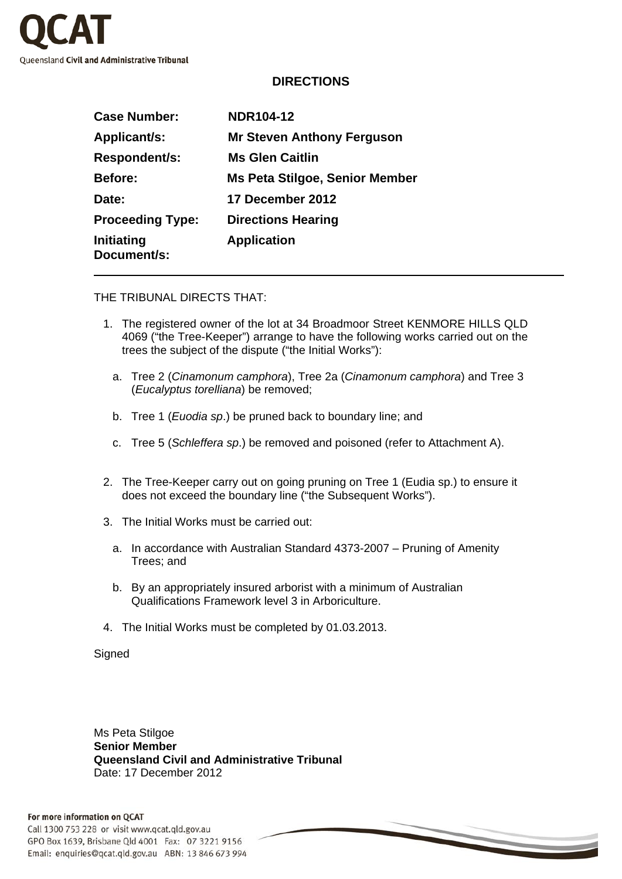

## **DIRECTIONS**

| <b>Case Number:</b>       | <b>NDR104-12</b>                  |
|---------------------------|-----------------------------------|
| Applicant/s:              | <b>Mr Steven Anthony Ferguson</b> |
| Respondent/s:             | <b>Ms Glen Caitlin</b>            |
| <b>Before:</b>            | Ms Peta Stilgoe, Senior Member    |
| Date:                     | 17 December 2012                  |
| <b>Proceeding Type:</b>   | <b>Directions Hearing</b>         |
| Initiating<br>Document/s: | <b>Application</b>                |

THE TRIBUNAL DIRECTS THAT:

- 1. The registered owner of the lot at 34 Broadmoor Street KENMORE HILLS QLD 4069 ("the Tree-Keeper") arrange to have the following works carried out on the trees the subject of the dispute ("the Initial Works"):
	- a. Tree 2 (*Cinamonum camphora*), Tree 2a (*Cinamonum camphora*) and Tree 3 (*Eucalyptus torelliana*) be removed;
	- b. Tree 1 (*Euodia sp*.) be pruned back to boundary line; and
	- c. Tree 5 (*Schleffera sp*.) be removed and poisoned (refer to Attachment A).
- 2. The Tree-Keeper carry out on going pruning on Tree 1 (Eudia sp.) to ensure it does not exceed the boundary line ("the Subsequent Works").
- 3. The Initial Works must be carried out:
	- a. In accordance with Australian Standard 4373-2007 Pruning of Amenity Trees; and
	- b. By an appropriately insured arborist with a minimum of Australian Qualifications Framework level 3 in Arboriculture.
- 4. The Initial Works must be completed by 01.03.2013.

**Signed** 

Ms Peta Stilgoe **Senior Member Queensland Civil and Administrative Tribunal**  Date: 17 December 2012